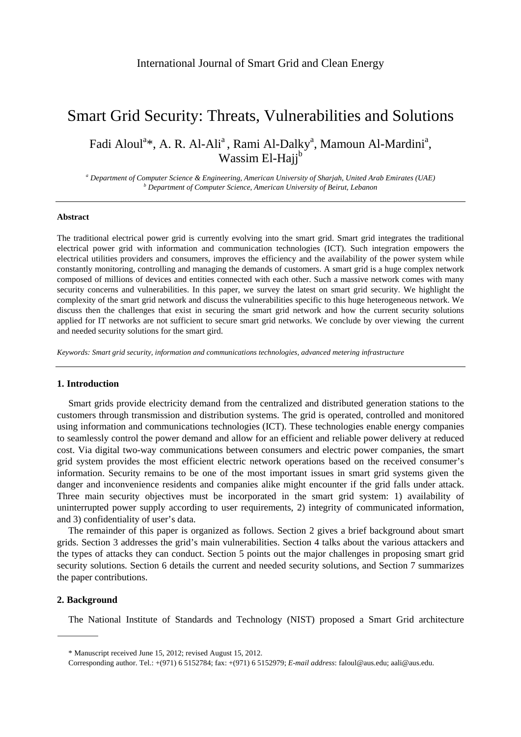# Smart Grid Security: Threats, Vulnerabilities and Solutions

Fadi Aloul<sup>a</sup>\*, A. R. Al-Ali<sup>a</sup>, Rami Al-Dalky<sup>a</sup>, Mamoun Al-Mardini<sup>a</sup>, Wassim El-Hajj<sup>b</sup>

<sup>a</sup> Department of Computer Science & Engineering, American University of Sharjah, United Arab Emirates (UAE) *b* Department of Computer Science American University of Beimut Lebence  *Department of Computer Science, American University of Beirut, Lebanon* 

## **Abstract**

The traditional electrical power grid is currently evolving into the smart grid. Smart grid integrates the traditional electrical power grid with information and communication technologies (ICT). Such integration empowers the electrical utilities providers and consumers, improves the efficiency and the availability of the power system while constantly monitoring, controlling and managing the demands of customers. A smart grid is a huge complex network composed of millions of devices and entities connected with each other. Such a massive network comes with many security concerns and vulnerabilities. In this paper, we survey the latest on smart grid security. We highlight the complexity of the smart grid network and discuss the vulnerabilities specific to this huge heterogeneous network. We discuss then the challenges that exist in securing the smart grid network and how the current security solutions applied for IT networks are not sufficient to secure smart grid networks. We conclude by over viewing the current and needed security solutions for the smart gird.

*Keywords: Smart grid security, information and communications technologies, advanced metering infrastructure* 

## **1. Introduction**

Smart grids provide electricity demand from the centralized and distributed generation stations to the customers through transmission and distribution systems. The grid is operated, controlled and monitored using information and communications technologies (ICT). These technologies enable energy companies to seamlessly control the power demand and allow for an efficient and reliable power delivery at reduced cost. Via digital two-way communications between consumers and electric power companies, the smart grid system provides the most efficient electric network operations based on the received consumer's information. Security remains to be one of the most important issues in smart grid systems given the danger and inconvenience residents and companies alike might encounter if the grid falls under attack. Three main security objectives must be incorporated in the smart grid system: 1) availability of uninterrupted power supply according to user requirements, 2) integrity of communicated information, and 3) confidentiality of user's data.

The remainder of this paper is organized as follows. Section 2 gives a brief background about smart grids. Section 3 addresses the grid's main vulnerabilities. Section 4 talks about the various attackers and the types of attacks they can conduct. Section 5 points out the major challenges in proposing smart grid security solutions. Section 6 details the current and needed security solutions, and Section 7 summarizes the paper contributions.

# **2. Background**

The National Institute of Standards and Technology (NIST) proposed a Smart Grid architecture

<sup>\*</sup> Manuscript received June 15, 2012; revised August 15, 2012.

Corresponding author. Tel.: +(971) 6 5152784; fax: +(971) 6 5152979; *E-mail address*: faloul@aus.edu; aali@aus.edu.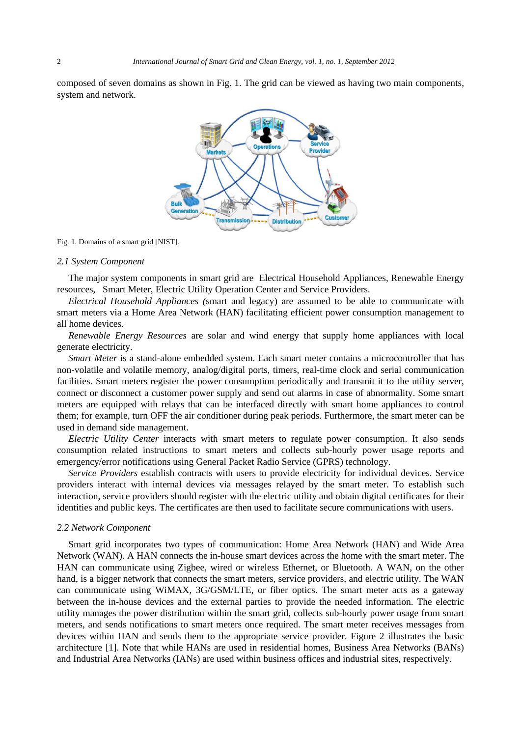composed of seven domains as shown in Fig. 1. The grid can be viewed as having two main components, system and network.



#### Fig. 1. Domains of a smart grid [NIST].

#### *2.1 System Component*

The major system components in smart grid are Electrical Household Appliances, Renewable Energy resources, Smart Meter, Electric Utility Operation Center and Service Providers.

*Electrical Household Appliances (*smart and legacy) are assumed to be able to communicate with smart meters via a Home Area Network (HAN) facilitating efficient power consumption management to all home devices.

*Renewable Energy Resources* are solar and wind energy that supply home appliances with local generate electricity.

*Smart Meter* is a stand-alone embedded system. Each smart meter contains a microcontroller that has non-volatile and volatile memory, analog/digital ports, timers, real-time clock and serial communication facilities. Smart meters register the power consumption periodically and transmit it to the utility server, connect or disconnect a customer power supply and send out alarms in case of abnormality. Some smart meters are equipped with relays that can be interfaced directly with smart home appliances to control them; for example, turn OFF the air conditioner during peak periods. Furthermore, the smart meter can be used in demand side management.

*Electric Utility Center* interacts with smart meters to regulate power consumption. It also sends consumption related instructions to smart meters and collects sub-hourly power usage reports and emergency/error notifications using General Packet Radio Service (GPRS) technology.

*Service Providers* establish contracts with users to provide electricity for individual devices. Service providers interact with internal devices via messages relayed by the smart meter. To establish such interaction, service providers should register with the electric utility and obtain digital certificates for their identities and public keys. The certificates are then used to facilitate secure communications with users.

#### *2.2 Network Component*

Smart grid incorporates two types of communication: Home Area Network (HAN) and Wide Area Network (WAN). A HAN connects the in-house smart devices across the home with the smart meter. The HAN can communicate using Zigbee, wired or wireless Ethernet, or Bluetooth. A WAN, on the other hand, is a bigger network that connects the smart meters, service providers, and electric utility. The WAN can communicate using WiMAX, 3G/GSM/LTE, or fiber optics. The smart meter acts as a gateway between the in-house devices and the external parties to provide the needed information. The electric utility manages the power distribution within the smart grid, collects sub-hourly power usage from smart meters, and sends notifications to smart meters once required. The smart meter receives messages from devices within HAN and sends them to the appropriate service provider. Figure 2 illustrates the basic architecture [1]. Note that while HANs are used in residential homes, Business Area Networks (BANs) and Industrial Area Networks (IANs) are used within business offices and industrial sites, respectively.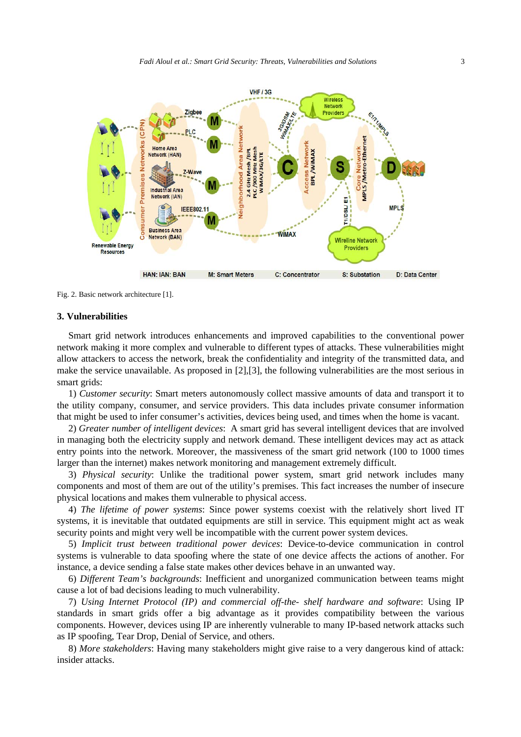

Fig. 2. Basic network architecture [1].

#### **3. Vulnerabilities**

Smart grid network introduces enhancements and improved capabilities to the conventional power network making it more complex and vulnerable to different types of attacks. These vulnerabilities might allow attackers to access the network, break the confidentiality and integrity of the transmitted data, and make the service unavailable. As proposed in [2],[3], the following vulnerabilities are the most serious in smart grids:

1) *Customer security*: Smart meters autonomously collect massive amounts of data and transport it to the utility company, consumer, and service providers. This data includes private consumer information that might be used to infer consumer's activities, devices being used, and times when the home is vacant.

2) *Greater number of intelligent devices*: A smart grid has several intelligent devices that are involved in managing both the electricity supply and network demand. These intelligent devices may act as attack entry points into the network. Moreover, the massiveness of the smart grid network (100 to 1000 times larger than the internet) makes network monitoring and management extremely difficult.

3) *Physical security*: Unlike the traditional power system, smart grid network includes many components and most of them are out of the utility's premises. This fact increases the number of insecure physical locations and makes them vulnerable to physical access.

4) *The lifetime of power systems*: Since power systems coexist with the relatively short lived IT systems, it is inevitable that outdated equipments are still in service. This equipment might act as weak security points and might very well be incompatible with the current power system devices.

5) *Implicit trust between traditional power devices*: Device-to-device communication in control systems is vulnerable to data spoofing where the state of one device affects the actions of another. For instance, a device sending a false state makes other devices behave in an unwanted way.

6) *Different Team's backgrounds*: Inefficient and unorganized communication between teams might cause a lot of bad decisions leading to much vulnerability.

7) *Using Internet Protocol (IP) and commercial off-the- shelf hardware and software*: Using IP standards in smart grids offer a big advantage as it provides compatibility between the various components. However, devices using IP are inherently vulnerable to many IP-based network attacks such as IP spoofing, Tear Drop, Denial of Service, and others.

8) *More stakeholders*: Having many stakeholders might give raise to a very dangerous kind of attack: insider attacks.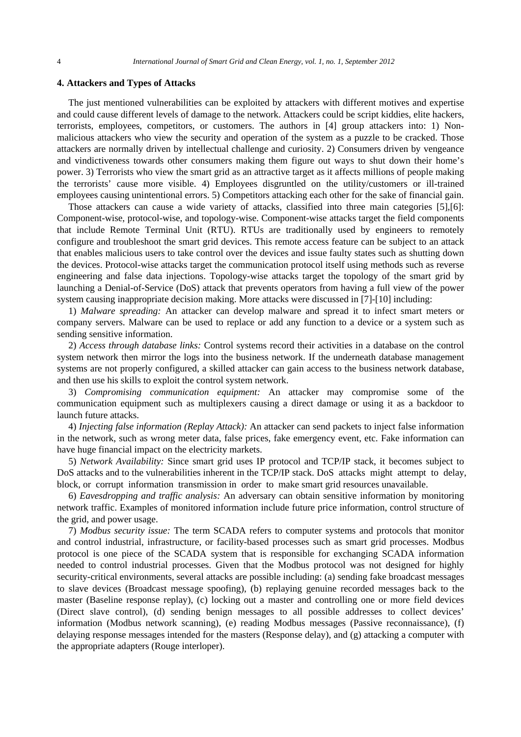## **4. Attackers and Types of Attacks**

The just mentioned vulnerabilities can be exploited by attackers with different motives and expertise and could cause different levels of damage to the network. Attackers could be script kiddies, elite hackers, terrorists, employees, competitors, or customers. The authors in [4] group attackers into: 1) Nonmalicious attackers who view the security and operation of the system as a puzzle to be cracked. Those attackers are normally driven by intellectual challenge and curiosity. 2) Consumers driven by vengeance and vindictiveness towards other consumers making them figure out ways to shut down their home's power. 3) Terrorists who view the smart grid as an attractive target as it affects millions of people making the terrorists' cause more visible. 4) Employees disgruntled on the utility/customers or ill-trained employees causing unintentional errors. 5) Competitors attacking each other for the sake of financial gain.

Those attackers can cause a wide variety of attacks, classified into three main categories [5],[6]: Component-wise, protocol-wise, and topology-wise. Component-wise attacks target the field components that include Remote Terminal Unit (RTU). RTUs are traditionally used by engineers to remotely configure and troubleshoot the smart grid devices. This remote access feature can be subject to an attack that enables malicious users to take control over the devices and issue faulty states such as shutting down the devices. Protocol-wise attacks target the communication protocol itself using methods such as reverse engineering and false data injections. Topology-wise attacks target the topology of the smart grid by launching a Denial-of-Service (DoS) attack that prevents operators from having a full view of the power system causing inappropriate decision making. More attacks were discussed in [7]-[10] including:

1) *Malware spreading:* An attacker can develop malware and spread it to infect smart meters or company servers. Malware can be used to replace or add any function to a device or a system such as sending sensitive information.

2) *Access through database links:* Control systems record their activities in a database on the control system network then mirror the logs into the business network. If the underneath database management systems are not properly configured, a skilled attacker can gain access to the business network database, and then use his skills to exploit the control system network.

3) *Compromising communication equipment:* An attacker may compromise some of the communication equipment such as multiplexers causing a direct damage or using it as a backdoor to launch future attacks.

4) *Injecting false information (Replay Attack):* An attacker can send packets to inject false information in the network, such as wrong meter data, false prices, fake emergency event, etc. Fake information can have huge financial impact on the electricity markets.

5) *Network Availability:* Since smart grid uses IP protocol and TCP/IP stack, it becomes subject to DoS attacks and to the vulnerabilities inherent in the TCP/IP stack. DoS attacks might attempt to delay, block, or corrupt information transmission in order to make smart grid resources unavailable.

6) *Eavesdropping and traffic analysis:* An adversary can obtain sensitive information by monitoring network traffic. Examples of monitored information include future price information, control structure of the grid, and power usage.

7) *Modbus security issue:* The term SCADA refers to computer systems and protocols that monitor and control industrial, infrastructure, or facility-based processes such as smart grid processes. Modbus protocol is one piece of the SCADA system that is responsible for exchanging SCADA information needed to control industrial processes. Given that the Modbus protocol was not designed for highly security-critical environments, several attacks are possible including: (a) sending fake broadcast messages to slave devices (Broadcast message spoofing), (b) replaying genuine recorded messages back to the master (Baseline response replay), (c) locking out a master and controlling one or more field devices (Direct slave control), (d) sending benign messages to all possible addresses to collect devices' information (Modbus network scanning), (e) reading Modbus messages (Passive reconnaissance), (f) delaying response messages intended for the masters (Response delay), and (g) attacking a computer with the appropriate adapters (Rouge interloper).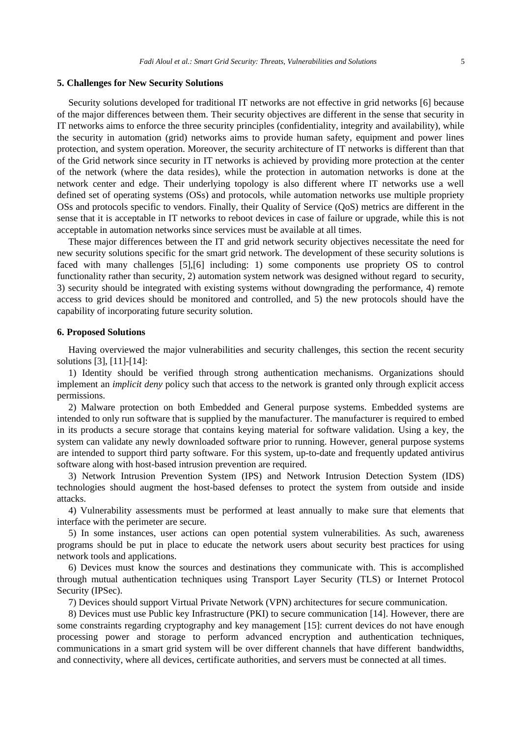## **5. Challenges for New Security Solutions**

Security solutions developed for traditional IT networks are not effective in grid networks [6] because of the major differences between them. Their security objectives are different in the sense that security in IT networks aims to enforce the three security principles (confidentiality, integrity and availability), while the security in automation (grid) networks aims to provide human safety, equipment and power lines protection, and system operation. Moreover, the security architecture of IT networks is different than that of the Grid network since security in IT networks is achieved by providing more protection at the center of the network (where the data resides), while the protection in automation networks is done at the network center and edge. Their underlying topology is also different where IT networks use a well defined set of operating systems (OSs) and protocols, while automation networks use multiple propriety OSs and protocols specific to vendors. Finally, their Quality of Service (QoS) metrics are different in the sense that it is acceptable in IT networks to reboot devices in case of failure or upgrade, while this is not acceptable in automation networks since services must be available at all times.

These major differences between the IT and grid network security objectives necessitate the need for new security solutions specific for the smart grid network. The development of these security solutions is faced with many challenges [5],[6] including: 1) some components use propriety OS to control functionality rather than security, 2) automation system network was designed without regard to security, 3) security should be integrated with existing systems without downgrading the performance, 4) remote access to grid devices should be monitored and controlled, and 5) the new protocols should have the capability of incorporating future security solution.

# **6. Proposed Solutions**

Having overviewed the major vulnerabilities and security challenges, this section the recent security solutions [3], [11]-[14]:

1) Identity should be verified through strong authentication mechanisms. Organizations should implement an *implicit deny* policy such that access to the network is granted only through explicit access permissions.

2) Malware protection on both Embedded and General purpose systems. Embedded systems are intended to only run software that is supplied by the manufacturer. The manufacturer is required to embed in its products a secure storage that contains keying material for software validation. Using a key, the system can validate any newly downloaded software prior to running. However, general purpose systems are intended to support third party software. For this system, up-to-date and frequently updated antivirus software along with host-based intrusion prevention are required.

3) Network Intrusion Prevention System (IPS) and Network Intrusion Detection System (IDS) technologies should augment the host-based defenses to protect the system from outside and inside attacks.

4) Vulnerability assessments must be performed at least annually to make sure that elements that interface with the perimeter are secure.

5) In some instances, user actions can open potential system vulnerabilities. As such, awareness programs should be put in place to educate the network users about security best practices for using network tools and applications.

6) Devices must know the sources and destinations they communicate with. This is accomplished through mutual authentication techniques using Transport Layer Security (TLS) or Internet Protocol Security (IPSec).

7) Devices should support Virtual Private Network (VPN) architectures for secure communication.

8) Devices must use Public key Infrastructure (PKI) to secure communication [14]. However, there are some constraints regarding cryptography and key management [15]: current devices do not have enough processing power and storage to perform advanced encryption and authentication techniques, communications in a smart grid system will be over different channels that have different bandwidths, and connectivity, where all devices, certificate authorities, and servers must be connected at all times.